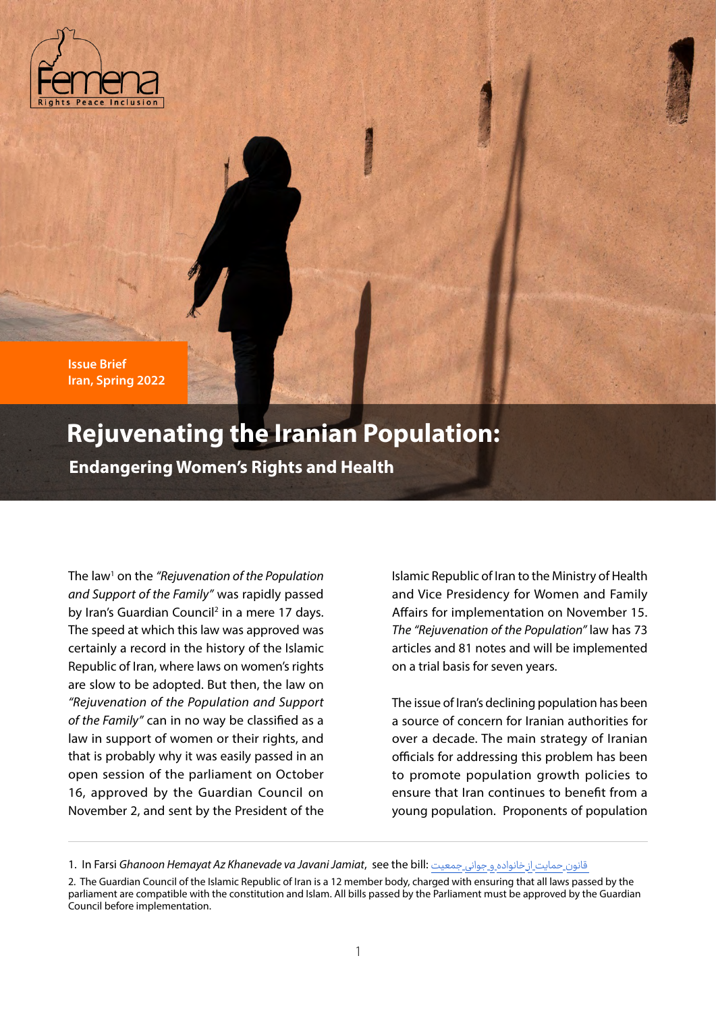

**Issue Brief Iran, Spring 2022**

# **Rejuvenating the Iranian Population:**

**Endangering Women's Rights and Health**

The law1 on the *"Rejuvenation of the Population and Support of the Family"* was rapidly passed by Iran's Guardian Council<sup>2</sup> in a mere 17 days. The speed at which this law was approved was certainly a record in the history of the Islamic Republic of Iran, where laws on women's rights are slow to be adopted. But then, the law on *"Rejuvenation of the Population and Support of the Family"* can in no way be classified as a law in support of women or their rights, and that is probably why it was easily passed in an open session of the parliament on October 16, approved by the Guardian Council on November 2, and sent by the President of the

Islamic Republic of Iran to the Ministry of Health and Vice Presidency for Women and Family Affairs for implementation on November 15. *The "Rejuvenation of the Population"* law has 73 articles and 81 notes and will be implemented on a trial basis for seven years.

The issue of Iran's declining population has been a source of concern for Iranian authorities for over a decade. The main strategy of Iranian officials for addressing this problem has been to promote population growth policies to ensure that Iran continues to benefit from a young population. Proponents of population

<sup>1.</sup> In Farsi *Ghanoon Hemayat Az Khanevade va Javani Jamiat*, see the bill: جمعیت جوانی و خانواده از حمایت قانون

<sup>2.</sup> The Guardian Council of the Islamic Republic of Iran is a 12 member body, charged with ensuring that all laws passed by the parliament are compatible with the constitution and Islam. All bills passed by the Parliament must be approved by the Guardian Council before implementation.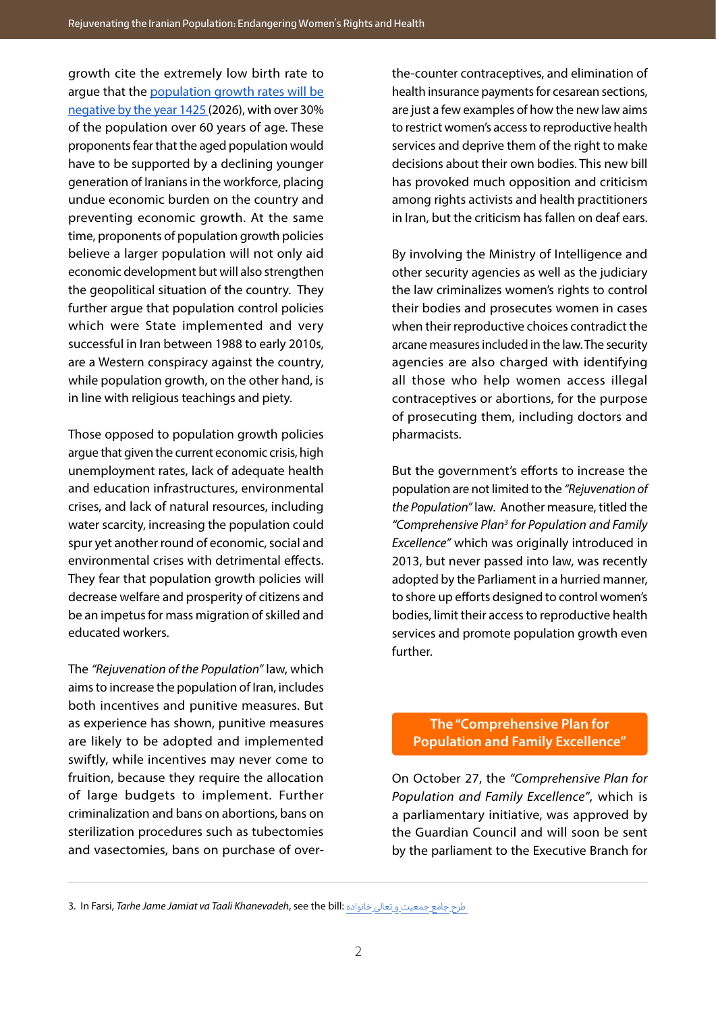growth cite the extremely low birth rate to argue that the [population growth rates will be](https://www.isna.ir/news/1400071006756/%D8%B1%D8%B4%D8%AF-%D8%AC%D9%85%D8%B9%DB%8C%D8%AA-%D8%A7%DB%8C%D8%B1%D8%A7%D9%86-%DB%B2%DB%B5-%D8%B3%D8%A7%D9%84-%D8%AF%DB%8C%DA%AF%D8%B1-%D9%85%D9%86%D9%81%DB%8C-%D9%85%DB%8C-%D8%B4%D9%88%D8%AF-%D9%88%D8%AC%D9%88%D8%AF-%DB%B1%DB%B3-%D9%85%DB%8C%D9%84%DB%8C%D9%88%D9%86-%D8%AC%D9%88%D8%A7%D9%86) [negative by the year 1425](https://www.isna.ir/news/1400071006756/%D8%B1%D8%B4%D8%AF-%D8%AC%D9%85%D8%B9%DB%8C%D8%AA-%D8%A7%DB%8C%D8%B1%D8%A7%D9%86-%DB%B2%DB%B5-%D8%B3%D8%A7%D9%84-%D8%AF%DB%8C%DA%AF%D8%B1-%D9%85%D9%86%D9%81%DB%8C-%D9%85%DB%8C-%D8%B4%D9%88%D8%AF-%D9%88%D8%AC%D9%88%D8%AF-%DB%B1%DB%B3-%D9%85%DB%8C%D9%84%DB%8C%D9%88%D9%86-%D8%AC%D9%88%D8%A7%D9%86) (2026), with over 30% of the population over 60 years of age. These proponents fear that the aged population would have to be supported by a declining younger generation of Iranians in the workforce, placing undue economic burden on the country and preventing economic growth. At the same time, proponents of population growth policies believe a larger population will not only aid economic development but will also strengthen the geopolitical situation of the country. They further argue that population control policies which were State implemented and very successful in Iran between 1988 to early 2010s, are a Western conspiracy against the country, while population growth, on the other hand, is in line with religious teachings and piety.

Those opposed to population growth policies argue that given the current economic crisis, high unemployment rates, lack of adequate health and education infrastructures, environmental crises, and lack of natural resources, including water scarcity, increasing the population could spur yet another round of economic, social and environmental crises with detrimental effects. They fear that population growth policies will decrease welfare and prosperity of citizens and be an impetus for mass migration of skilled and educated workers.

The *"Rejuvenation of the Population"* law, which aims to increase the population of Iran, includes both incentives and punitive measures. But as experience has shown, punitive measures are likely to be adopted and implemented swiftly, while incentives may never come to fruition, because they require the allocation of large budgets to implement. Further criminalization and bans on abortions, bans on sterilization procedures such as tubectomies and vasectomies, bans on purchase of overthe-counter contraceptives, and elimination of health insurance payments for cesarean sections, are just a few examples of how the new law aims to restrict women's access to reproductive health services and deprive them of the right to make decisions about their own bodies. This new bill has provoked much opposition and criticism among rights activists and health practitioners in Iran, but the criticism has fallen on deaf ears.

By involving the Ministry of Intelligence and other security agencies as well as the judiciary the law criminalizes women's rights to control their bodies and prosecutes women in cases when their reproductive choices contradict the arcane measures included in the law. The security agencies are also charged with identifying all those who help women access illegal contraceptives or abortions, for the purpose of prosecuting them, including doctors and pharmacists.

But the government's efforts to increase the population are not limited to the *"Rejuvenation of the Population"* law. Another measure, titled the *"Comprehensive Plan3 for Population and Family Excellence"* which was originally introduced in 2013, but never passed into law, was recently adopted by the Parliament in a hurried manner, to shore up efforts designed to control women's bodies, limit their access to reproductive health services and promote population growth even further.

# **The "Comprehensive Plan for Population and Family Excellence"**

On October 27, the *"Comprehensive Plan for Population and Family Excellence"*, which is a parliamentary initiative, was approved by the Guardian Council and will soon be sent by the parliament to the Executive Branch for

<sup>3.</sup> In Farsi, *Tarhe Jame Jamiat va Taali Khanevadeh*, see the bill: خانواده تعالی و جمعیت جامع طرح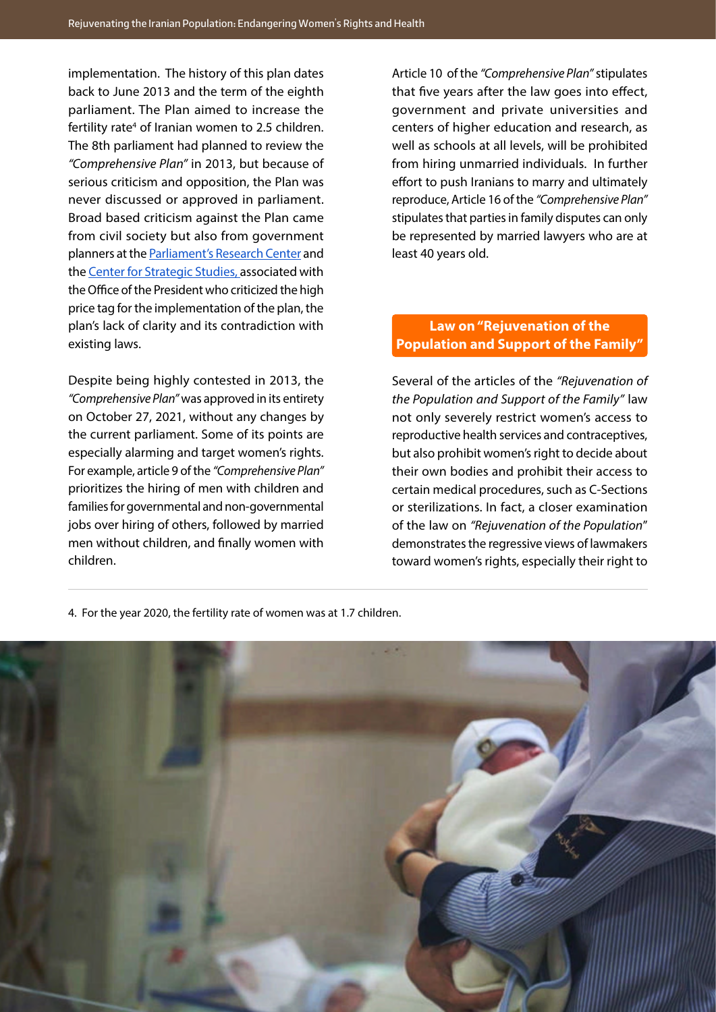implementation. The history of this plan dates back to June 2013 and the term of the eighth parliament. The Plan aimed to increase the fertility rate<sup>4</sup> of Iranian women to 2.5 [children.](https://www.amar.org.ir/Portals/0/News/1399/khabar%20barvari.pdf) The 8th parliament had planned to review the *"Comprehensive Plan"* in 2013, but because of serious criticism and opposition, the Plan was never discussed or approved in parliament. Broad based criticism against the Plan came from civil society but also from government planners at the [Parliament's Research Center](https://rc.majlis.ir/fa/report/show/1373553) and the [Center for Strategic Studies, a](https://www.css.ir/fa/content/114156/%D9%86%D9%82%D8%AF%DB%8C_%D8%A8%D8%B1_%D8%B7%D8%B1%D8%AD_%D8%AC%D9%85%D8%B9%DB%8C%D8%AA_%D9%88_%D8%AA%D8%B9%D8%A7%D9%84%DB%8C_%D8%AE%D8%A7%D9%86%D9%88%D8%A7%D8%AF%D9%87)ssociated with the Office of the President who criticized the high price tag for the implementation of the plan, the plan's lack of clarity and its contradiction with existing laws.

Despite being highly contested in 2013, the *"Comprehensive Plan"* was approved in its entirety on October 27, 2021, without any changes by the current parliament. Some of its points are especially alarming and target women's rights. For example, article 9 of the *"Comprehensive Plan"* prioritizes the hiring of men with children and families for governmental and non-governmental jobs over hiring of others, followed by married men without children, and finally women with children.

Article 10 of the *"Comprehensive Plan"* stipulates that five years after the law goes into effect, government and private universities and centers of higher education and research, as well as schools at all levels, will be prohibited from hiring unmarried individuals. In further effort to push Iranians to marry and ultimately reproduce, Article 16 of the *"Comprehensive Plan"* stipulates that parties in family disputes can only be represented by married lawyers who are at least 40 years old.

# **Law on "Rejuvenation of the Population and Support of the Family"**

Several of the articles of the *"Rejuvenation of the Population and Support of the Family"* law not only severely restrict women's access to reproductive health services and contraceptives, but also prohibit women's right to decide about their own bodies and prohibit their access to certain medical procedures, such as C-Sections or sterilizations. In fact, a closer examination of the law on *"Rejuvenation of the Population*" demonstrates the regressive views of lawmakers toward women's rights, especially their right to

4. For the year 2020, the fertility rate of women was at 1.7 children.

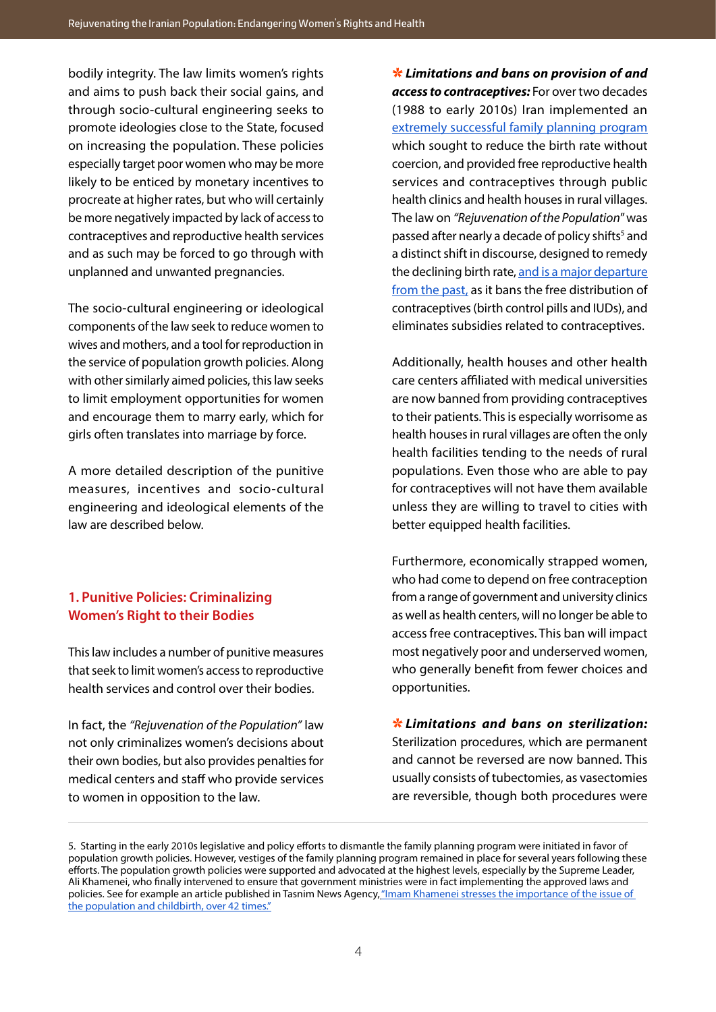bodily integrity. The law limits women's rights and aims to push back their social gains, and through socio-cultural engineering seeks to promote ideologies close to the State, focused on increasing the population. These policies especially target poor women who may be more likely to be enticed by monetary incentives to procreate at higher rates, but who will certainly be more negatively impacted by lack of access to contraceptives and reproductive health services and as such may be forced to go through with unplanned and unwanted pregnancies.

The socio-cultural engineering or ideological components of the law seek to reduce women to wives and mothers, and a tool for reproduction in the service of population growth policies. Along with other similarly aimed policies, this law seeks to limit employment opportunities for women and encourage them to marry early, which for girls often translates into marriage by force.

A more detailed description of the punitive measures, incentives and socio-cultural engineering and ideological elements of the law are described below.

# **1. Punitive Policies: Criminalizing Women's Right to their Bodies**

This law includes a number of punitive measures that seek to limit women's access to reproductive health services and control over their bodies.

In fact, the *"Rejuvenation of the Population"* law not only criminalizes women's decisions about their own bodies, but also provides penalties for medical centers and staff who provide services to women in opposition to the law.

⇆ *Limitations and bans on provision of and access to contraceptives:* For over two decades (1988 to early 2010s) Iran implemented an [extremely successful family planning program](https://overpopulation-project.com/the-iranian-miracle-the-most-effective-family-planning-program-in-history/) which sought to reduce the birth rate without coercion, and provided free reproductive health services and contraceptives through public health clinics and health houses in rural villages. The law on *"Rejuvenation of the Population*" was passed after nearly a decade of policy shifts<sup>5</sup> and a distinct shift in discourse, designed to remedy the declining birth rate, [and is a major departure](https://srtc.ac.ir/analytical-reports/ID/5112/%D9%86%DA%AF%D8%A7%D9%87%DB%8C-%D8%A8%D9%87-%DA%AF%D8%B0%D8%B4%D8%AA%D9%87-%D8%AD%D8%A7%D9%84-%D9%88-%D8%A2%DB%8C%D9%86%D8%AF%D9%87-%D8%AC%D9%85%D8%B9%DB%8C%D8%AA-%D8%A7%DB%8C%D8%B1%D8%A7%D9%86)  [from the past,](https://srtc.ac.ir/analytical-reports/ID/5112/%D9%86%DA%AF%D8%A7%D9%87%DB%8C-%D8%A8%D9%87-%DA%AF%D8%B0%D8%B4%D8%AA%D9%87-%D8%AD%D8%A7%D9%84-%D9%88-%D8%A2%DB%8C%D9%86%D8%AF%D9%87-%D8%AC%D9%85%D8%B9%DB%8C%D8%AA-%D8%A7%DB%8C%D8%B1%D8%A7%D9%86) as it bans the free distribution of contraceptives (birth control pills and IUDs), and eliminates subsidies related to contraceptives.

Additionally, health houses and other health care centers affiliated with medical universities are now banned from providing contraceptives to their patients. This is especially worrisome as health houses in rural villages are often the only health facilities tending to the needs of rural populations. Even those who are able to pay for contraceptives will not have them available unless they are willing to travel to cities with better equipped health facilities.

Furthermore, economically strapped women, who had come to depend on free contraception from a range of government and university clinics as well as health centers, will no longer be able to access free contraceptives. This ban will impact most negatively poor and underserved women, who generally benefit from fewer choices and opportunities.

⇆ *Limitations and bans on sterilization:* Sterilization procedures, which are permanent and cannot be reversed are now banned. This usually consists of tubectomies, as vasectomies are reversible, though both procedures were

<sup>5.</sup> Starting in the early 2010s legislative and policy efforts to dismantle the family planning program were initiated in favor of population growth policies. However, vestiges of the family planning program remained in place for several years following these efforts. The population growth policies were supported and advocated at the highest levels, especially by the Supreme Leader, Ali Khamenei, who finally intervened to ensure that government ministries were in fact implementing the approved laws and policies. See for example an article published in Tasnim News Agency, "Imam Khamenei stresses the importance of the issue of the population and childbirth, over 42 times."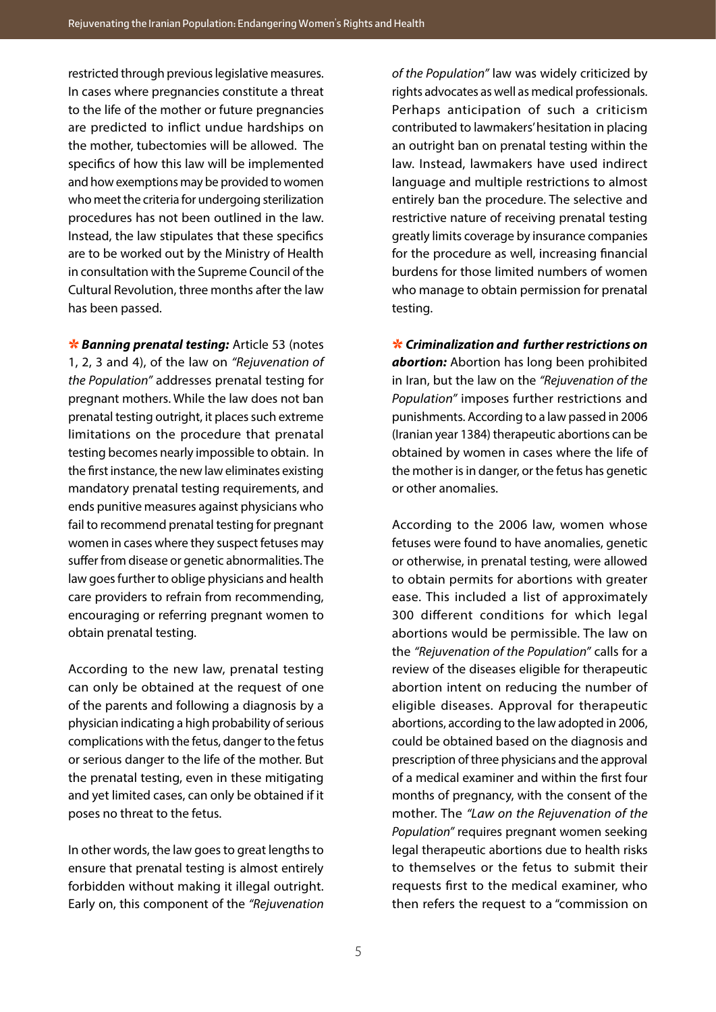restricted through previous legislative measures. In cases where pregnancies constitute a threat to the life of the mother or future pregnancies are predicted to inflict undue hardships on the mother, tubectomies will be allowed. The specifics of how this law will be implemented and how exemptions may be provided to women who meet the criteria for undergoing sterilization procedures has not been outlined in the law. Instead, the law stipulates that these specifics are to be worked out by the Ministry of Health in consultation with the Supreme Council of the Cultural Revolution, three months after the law has been passed.

*\** **Banning prenatal testing:** Article 53 (notes 1, 2, 3 and 4), of the law on *"Rejuvenation of the Population''* addresses prenatal testing for pregnant mothers. While the law does not ban prenatal testing outright, it places such extreme limitations on the procedure that prenatal testing becomes nearly impossible to obtain. In the first instance, the new law eliminates existing mandatory prenatal testing requirements, and ends punitive measures against physicians who fail to recommend prenatal testing for pregnant women in cases where they suspect fetuses may suffer from disease or genetic abnormalities. The law goes further to oblige physicians and health care providers to refrain from recommending, encouraging or referring pregnant women to obtain prenatal testing.

According to the new law, prenatal testing can only be obtained at the request of one of the parents and following a diagnosis by a physician indicating a high probability of serious complications with the fetus, danger to the fetus or serious danger to the life of the mother. But the prenatal testing, even in these mitigating and yet limited cases, can only be obtained if it poses no threat to the fetus.

In other words, the law goes to great lengths to ensure that prenatal testing is almost entirely forbidden without making it illegal outright. Early on, this component of the *"Rejuvenation* 

*of the Population"* law was widely criticized by rights advocates as well as medical professionals. Perhaps anticipation of such a criticism contributed to lawmakers' hesitation in placing an outright ban on prenatal testing within the law. Instead, lawmakers have used indirect language and multiple restrictions to almost entirely ban the procedure. The selective and restrictive nature of receiving prenatal testing greatly limits coverage by insurance companies for the procedure as well, increasing financial burdens for those limited numbers of women who manage to obtain permission for prenatal testing.

⇆ *Criminalization and further restrictions on abortion:* Abortion has long been prohibited in Iran, but the law on the *"Rejuvenation of the Population"* imposes further restrictions and punishments. According to a law passed in 2006 (Iranian year 1384) therapeutic abortions can be obtained by women in cases where the life of the mother is in danger, or the fetus has genetic or other anomalies.

According to the 2006 law, women whose fetuses were found to have anomalies, genetic or otherwise, in prenatal testing, were allowed to obtain permits for abortions with greater ease. This included a list of approximately 300 different conditions for which legal abortions would be permissible. The law on the *"Rejuvenation of the Population"* calls for a review of the diseases eligible for therapeutic abortion intent on reducing the number of eligible diseases. Approval for therapeutic abortions, according to the law adopted in 2006, could be obtained based on the diagnosis and prescription of three physicians and the approval of a medical examiner and within the first four months of pregnancy, with the consent of the mother. The *"Law on the Rejuvenation of the Population"* requires pregnant women seeking legal therapeutic abortions due to health risks to themselves or the fetus to submit their requests first to the medical examiner, who then refers the request to a "commission on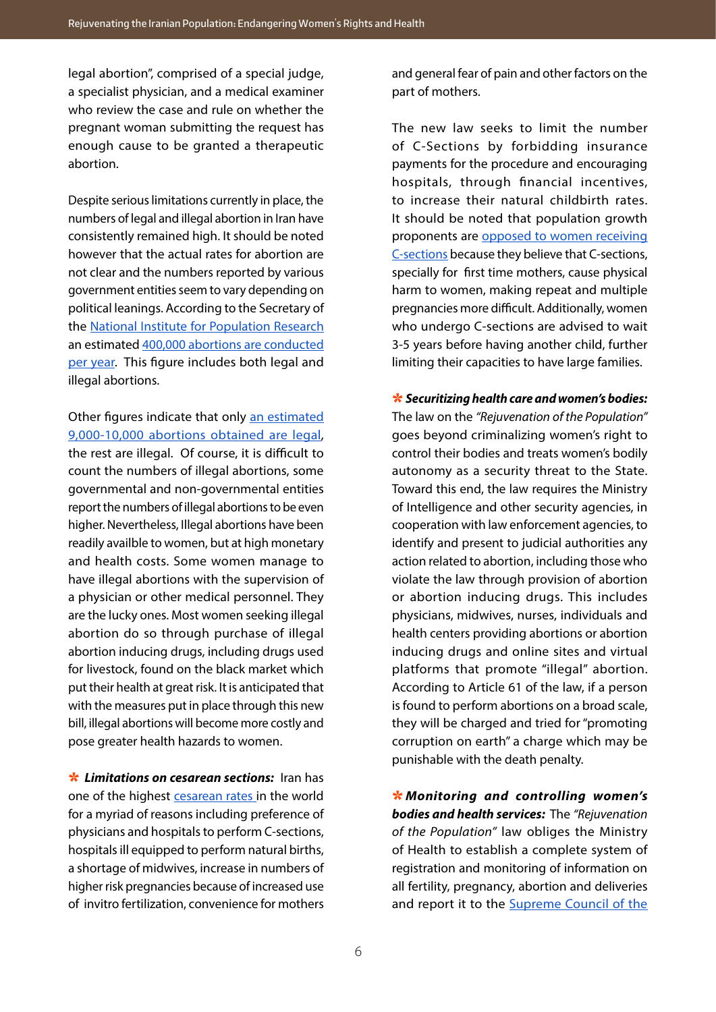legal abortion", comprised of a special judge, a specialist physician, and a medical examiner who review the case and rule on whether the pregnant woman submitting the request has enough cause to be granted a therapeutic abortion.

Despite serious limitations currently in place, the numbers of legal and illegal abortion in Iran have consistently remained high. It should be noted however that the actual rates for abortion are not clear and the numbers reported by various government entities seem to vary depending on political leanings. According to the Secretary of the [National Institute for Population Research](https://psri.ac.ir/fa/) an estimated [400,000 abortions are conducted](https://www.imna.ir/news/539695/%D9%88%D9%82%D9%88%D8%B9-%D8%B3%D8%A7%D9%84%D8%A7%D9%86%D9%87-%D8%A8%DB%8C%D8%B4-%D8%A7%D8%B2-%DB%B4%DB%B0%DB%B0-%D9%87%D8%B2%D8%A7%D8%B1-%D8%B3%D9%82%D8%B7-%D8%AC%D9%86%DB%8C%D9%86-%D8%AF%D8%B1-%DA%A9%D8%B4%D9%88%D8%B1-%DA%A9%D8%A7%D9%87%D8%B4-%D8%A2%D9%85%D8%A7%D8%B1-%D8%B3%D9%82%D8%B7-%D8%A8%D8%A7) [per year](https://www.imna.ir/news/539695/%D9%88%D9%82%D9%88%D8%B9-%D8%B3%D8%A7%D9%84%D8%A7%D9%86%D9%87-%D8%A8%DB%8C%D8%B4-%D8%A7%D8%B2-%DB%B4%DB%B0%DB%B0-%D9%87%D8%B2%D8%A7%D8%B1-%D8%B3%D9%82%D8%B7-%D8%AC%D9%86%DB%8C%D9%86-%D8%AF%D8%B1-%DA%A9%D8%B4%D9%88%D8%B1-%DA%A9%D8%A7%D9%87%D8%B4-%D8%A2%D9%85%D8%A7%D8%B1-%D8%B3%D9%82%D8%B7-%D8%A8%D8%A7). This figure includes both legal and illegal abortions.

Other figures indicate that only [an estimated](https://www.irna.ir/news/84164579/%D9%85%D8%AC%D9%88%D8%B2-%D8%B3%D9%82%D8%B7-%D8%AF%D8%B1%D9%85%D8%A7%D9%86%DB%8C-%D8%AF%D8%B1-%DA%86%D9%87-%D8%B4%D8%B1%D8%A7%DB%8C%D8%B7%DB%8C-%D8%B5%D8%A7%D8%AF%D8%B1-%D9%85%DB%8C-%D8%B4%D9%88%D8%AF) [9,000-10,000 abortions obtained are legal,](https://www.irna.ir/news/84164579/%D9%85%D8%AC%D9%88%D8%B2-%D8%B3%D9%82%D8%B7-%D8%AF%D8%B1%D9%85%D8%A7%D9%86%DB%8C-%D8%AF%D8%B1-%DA%86%D9%87-%D8%B4%D8%B1%D8%A7%DB%8C%D8%B7%DB%8C-%D8%B5%D8%A7%D8%AF%D8%B1-%D9%85%DB%8C-%D8%B4%D9%88%D8%AF) the rest are illegal. Of course, it is difficult to count the numbers of illegal abortions, some governmental and non-governmental entities report the numbers of illegal abortions to be even higher. Nevertheless, Illegal abortions have been readily availble to women, but at high monetary and health costs. Some women manage to have illegal abortions with the supervision of a physician or other medical personnel. They are the lucky ones. Most women seeking illegal abortion do so through purchase of illegal abortion inducing drugs, including drugs used for livestock, found on the black market which put their health at great risk. It is anticipated that with the measures put in place through this new bill, illegal abortions will become more costly and pose greater health hazards to women.

 $*$  **Limitations on cesarean sections:** Iran has one of the highest cesarean rates in the world for a myriad of reasons including preference of physicians and hospitals to perform C-sections, hospitals ill equipped to perform natural births, a shortage of midwives, increase in numbers of higher risk pregnancies because of increased use of invitro fertilization, convenience for mothers

and general fear of pain and other factors on the part of mothers.

The new law seeks to limit the number of C-Sections by forbidding insurance payments for the procedure and encouraging hospitals, through financial incentives, to increase their natural childbirth rates. It should be noted that population growth proponents are [opposed to women receiving](https://www.salamatnews.com/news/104028/%D8%B3%D8%B2%D8%A7%D8%B1%DB%8C%D9%86-%D8%B9%D8%A7%D9%85%D9%84-%D8%A7%D8%B5%D9%84%DB%8C-%DA%A9%D8%A7%D9%87%D8%B4-%D9%86%D8%B1%D8%AE-%D8%A8%D8%A7%D8%B1%D9%88%D8%B1%DB%8C-%D8%AF%D8%B1-%DA%A9%D8%B4%D9%88%D8%B1)  [C-sections](https://www.salamatnews.com/news/104028/%D8%B3%D8%B2%D8%A7%D8%B1%DB%8C%D9%86-%D8%B9%D8%A7%D9%85%D9%84-%D8%A7%D8%B5%D9%84%DB%8C-%DA%A9%D8%A7%D9%87%D8%B4-%D9%86%D8%B1%D8%AE-%D8%A8%D8%A7%D8%B1%D9%88%D8%B1%DB%8C-%D8%AF%D8%B1-%DA%A9%D8%B4%D9%88%D8%B1) because they believe that C-sections, specially for first time mothers, cause physical harm to women, making repeat and multiple pregnancies more difficult. Additionally, women who undergo C-sections are advised to wait 3-5 years before having another child, further limiting their capacities to have large families.

⇆ *Securitizing health care and women's bodies:* The law on the *"Rejuvenation of the Population"* goes beyond criminalizing women's right to control their bodies and treats women's bodily autonomy as a security threat to the State. Toward this end, the law requires the Ministry of Intelligence and other security agencies, in cooperation with law enforcement agencies, to identify and present to judicial authorities any action related to abortion, including those who violate the law through provision of abortion or abortion inducing drugs. This includes physicians, midwives, nurses, individuals and health centers providing abortions or abortion inducing drugs and online sites and virtual platforms that promote "illegal" abortion. According to Article 61 of the law, if a person is found to perform abortions on a broad scale, they will be charged and tried for "promoting corruption on earth" a charge which may be punishable with the death penalty.

⇆ *Monitoring and controlling women's bodies and health services:* The *"Rejuvenation of the Population"* law obliges the Ministry of Health to establish a complete system of registration and monitoring of information on all fertility, pregnancy, abortion and deliveries and report it to the [Supreme Council of the](https://sccr.ir/pages/10257/2)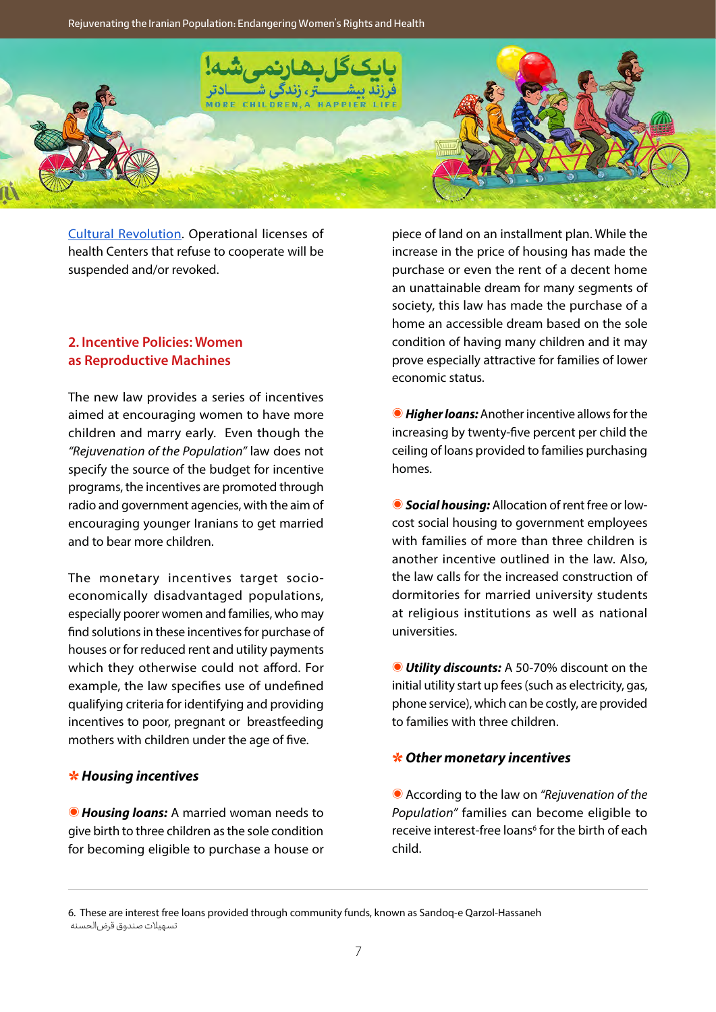**Rejuvenating the Iranian Population: Endangering Women's Rights and Health**



[Cultural Revolution.](https://sccr.ir/pages/10257/2) Operational licenses of health Centers that refuse to cooperate will be suspended and/or revoked.

# **2. Incentive Policies: Women as Reproductive Machines**

The new law provides a series of incentives aimed at encouraging women to have more children and marry early. Even though the *"Rejuvenation of the Population"* law does not specify the source of the budget for incentive programs, the incentives are promoted through radio and government agencies, with the aim of encouraging younger Iranians to get married and to bear more children.

The monetary incentives target socioeconomically disadvantaged populations, especially poorer women and families, who may find solutions in these incentives for purchase of houses or for reduced rent and utility payments which they otherwise could not afford. For example, the law specifies use of undefined qualifying criteria for identifying and providing incentives to poor, pregnant or breastfeeding mothers with children under the age of five.

#### ⇆ *Housing incentives*

⦿ *Housing loans:* A married woman needs to give birth to three children as the sole condition for becoming eligible to purchase a house or piece of land on an installment plan. While the increase in the price of housing has made the purchase or even the rent of a decent home an unattainable dream for many segments of society, this law has made the purchase of a home an accessible dream based on the sole condition of having many children and it may prove especially attractive for families of lower economic status.

⦿ *Higher loans:*Another incentive allows for the increasing by twenty-five percent per child the ceiling of loans provided to families purchasing homes.

⦿ *Social housing:* Allocation of rent free or lowcost social housing to government employees with families of more than three children is another incentive outlined in the law. Also, the law calls for the increased construction of dormitories for married university students at religious institutions as well as national universities.

⦿ *Utility discounts:* A 50-70% discount on the initial utility start up fees (such as electricity, gas, phone service), which can be costly, are provided to families with three children.

#### ⇆ *Other monetary incentives*

⦿ According to the law on *"Rejuvenation of the Population"* families can become eligible to receive interest-free loans<sup>6</sup> for the birth of each child.

6. These are interest free loans provided through community funds, known as Sandoq-e Qarzol-Hassaneh تسهیلات صندوق قرضالحسنه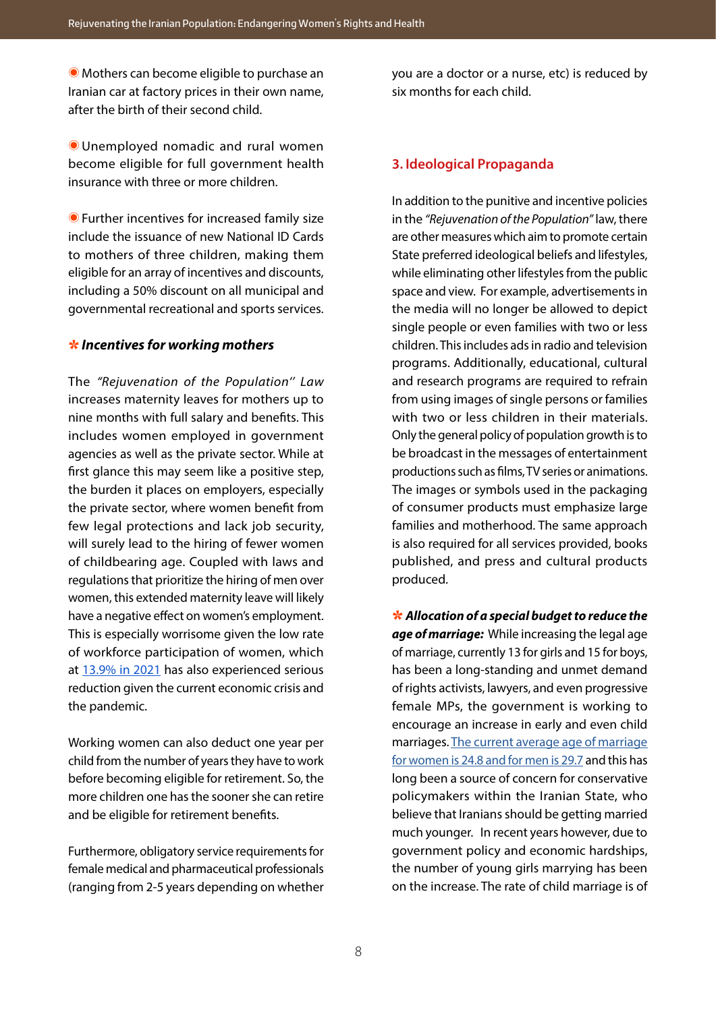⦿ Mothers can become eligible to purchase an Iranian car at factory prices in their own name, after the birth of their second child.

⦿ Unemployed nomadic and rural women become eligible for full government health insurance with three or more children.

⦿ Further incentives for increased family size include the issuance of new National ID Cards to mothers of three children, making them eligible for an array of incentives and discounts, including a 50% discount on all municipal and governmental recreational and sports services.

#### ⇆ *Incentives for working mothers*

The *"Rejuvenation of the Population'' Law* increases maternity leaves for mothers up to nine months with full salary and benefits. This includes women employed in government agencies as well as the private sector. While at first glance this may seem like a positive step. the burden it places on employers, especially the private sector, where women benefit from few legal protections and lack job security, will surely lead to the hiring of fewer women of childbearing age. Coupled with laws and regulations that prioritize the hiring of men over women, this extended maternity leave will likely have a negative effect on women's employment. This is especially worrisome given the low rate of workforce participation of women, which at [13.9% in 2021](https://women.gov.ir/fa/news/14648/%D8%B6%D8%B1%D8%A8%D9%87-%DA%A9%D8%B1%D9%88%D9%86%D8%A7-%D8%A8%D9%87-%D8%A7%D8%B4%D8%AA%D8%BA%D8%A7%D9%84-%D8%B2%D9%86%D8%A7%D9%86-9-%D8%A8%D8%B1%D8%A7%D8%A8%D8%B1-%D9%85%D8%B1%D8%AF%D8%A7%D9%86) has also experienced serious reduction given the current economic crisis and the pandemic.

Working women can also deduct one year per child from the number of years they have to work before becoming eligible for retirement. So, the more children one has the sooner she can retire and be eligible for retirement benefits.

Furthermore, obligatory service requirements for female medical and pharmaceutical professionals (ranging from 2-5 years depending on whether you are a doctor or a nurse, etc) is reduced by six months for each child.

# **3. Ideological Propaganda**

In addition to the punitive and incentive policies in the *"Rejuvenation of the Population"* law, there are other measures which aim to promote certain State preferred ideological beliefs and lifestyles, while eliminating other lifestyles from the public space and view. For example, advertisements in the media will no longer be allowed to depict single people or even families with two or less children. This includes ads in radio and television programs. Additionally, educational, cultural and research programs are required to refrain from using images of single persons or families with two or less children in their materials. Only the general policy of population growth is to be broadcast in the messages of entertainment productions such as films, TV series or animations. The images or symbols used in the packaging of consumer products must emphasize large families and motherhood. The same approach is also required for all services provided, books published, and press and cultural products produced.

⇆ *Allocation of a special budget to reduce the age of marriage:* While increasing the legal age of marriage, currently 13 for girls and 15 for boys, has been a long-standing and unmet demand of rights activists, lawyers, and even progressive female MPs, the government is working to encourage an increase in early and even child marriages. [The current average age of marriage](https://www.mashreghnews.ir/news/1181672/%D9%85%DB%8C%D8%A7%D9%86%DA%AF%DB%8C%D9%86-%D8%B3%D9%86-%D8%A7%D8%B2%D8%AF%D9%88%D8%A7%D8%AC-%D8%B2%D9%86%D8%A7%D9%86-%D9%88-%D9%85%D8%B1%D8%AF%D8%A7%D9%86-%D8%AF%D8%B1-%D8%A7%DB%8C%D8%B1%D8%A7%D9%86)  [for women is 24.8 and for men is 29.7](https://www.mashreghnews.ir/news/1181672/%D9%85%DB%8C%D8%A7%D9%86%DA%AF%DB%8C%D9%86-%D8%B3%D9%86-%D8%A7%D8%B2%D8%AF%D9%88%D8%A7%D8%AC-%D8%B2%D9%86%D8%A7%D9%86-%D9%88-%D9%85%D8%B1%D8%AF%D8%A7%D9%86-%D8%AF%D8%B1-%D8%A7%DB%8C%D8%B1%D8%A7%D9%86) and this has long been a source of concern for conservative policymakers within the Iranian State, who believe that Iranians should be getting married much younger. In recent years however, due to government policy and economic hardships, the number of young girls marrying has been on the increase. The rate of child marriage is of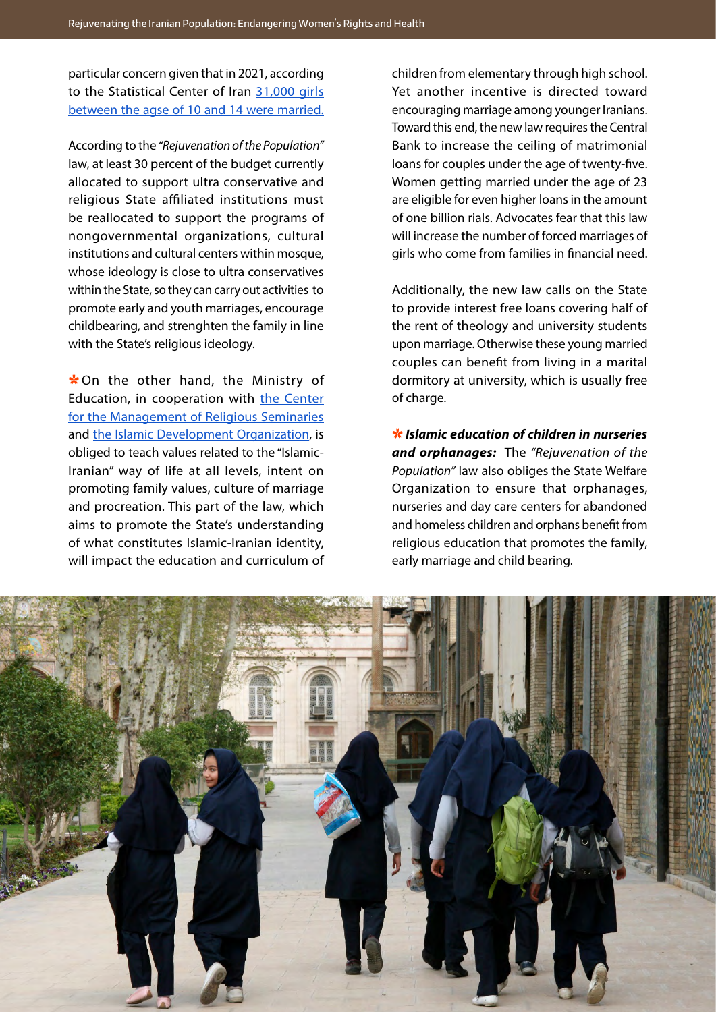particular concern given that in 2021, according to the Statistical Center of Iran [31,000 girls](https://aftabnews.ir/fa/news/738891/%D8%B1%DA%A9%D9%88%D8%B1%D8%AF%D8%B4%DA%A9%D9%86%DB%8C-%D8%A7%D8%B2%D8%AF%D9%88%D8%A7%D8%AC-%D8%AF%D8%AE%D8%AA%D8%B1%D8%A7%D9%86-%DB%B1%DB%B0-%D8%AA%D8%A7-%DB%B1%DB%B4-%D8%B3%D8%A7%D9%84%D9%87-%D8%AF%D8%B1-%D8%A8%D9%87%D8%A7%D8%B1-%DB%B1%DB%B4%DB%B0%DB%B0) [between the agse of 10 and 14 were married.](https://aftabnews.ir/fa/news/738891/%D8%B1%DA%A9%D9%88%D8%B1%D8%AF%D8%B4%DA%A9%D9%86%DB%8C-%D8%A7%D8%B2%D8%AF%D9%88%D8%A7%D8%AC-%D8%AF%D8%AE%D8%AA%D8%B1%D8%A7%D9%86-%DB%B1%DB%B0-%D8%AA%D8%A7-%DB%B1%DB%B4-%D8%B3%D8%A7%D9%84%D9%87-%D8%AF%D8%B1-%D8%A8%D9%87%D8%A7%D8%B1-%DB%B1%DB%B4%DB%B0%DB%B0)

According to the *"Rejuvenation of the Population"* law, at least 30 percent of the budget currently allocated to support ultra conservative and religious State affiliated institutions must be reallocated to support the programs of nongovernmental organizations, cultural institutions and cultural centers within mosque, whose ideology is close to ultra conservatives within the State, so they can carry out activities to promote early and youth marriages, encourage childbearing, and strenghten the family in line with the State's religious ideology.

 $*$  On the other hand, the Ministry of Education, in cooperation with [the Center](https://ismc.ir/) [for the Management of Religious Seminaries](https://ismc.ir/) and [the Islamic Development Organization](http://ido.ir/en/), is obliged to teach values related to the "Islamic-Iranian" way of life at all levels, intent on promoting family values, culture of marriage and procreation. This part of the law, which aims to promote the State's understanding of what constitutes Islamic-Iranian identity, will impact the education and curriculum of

children from elementary through high school. Yet another incentive is directed toward encouraging marriage among younger Iranians. Toward this end, the new law requires the Central Bank to increase the ceiling of matrimonial loans for couples under the age of twenty-five. Women getting married under the age of 23 are eligible for even higher loans in the amount of one billion rials. Advocates fear that this law will increase the number of forced marriages of girls who come from families in financial need.

Additionally, the new law calls on the State to provide interest free loans covering half of the rent of theology and university students upon marriage. Otherwise these young married couples can benefit from living in a marital dormitory at university, which is usually free of charge.

⇆ *Islamic education of children in nurseries and orphanages:* The *"Rejuvenation of the Population"* law also obliges the State Welfare Organization to ensure that orphanages, nurseries and day care centers for abandoned and homeless children and orphans benefit from religious education that promotes the family, early marriage and child bearing.

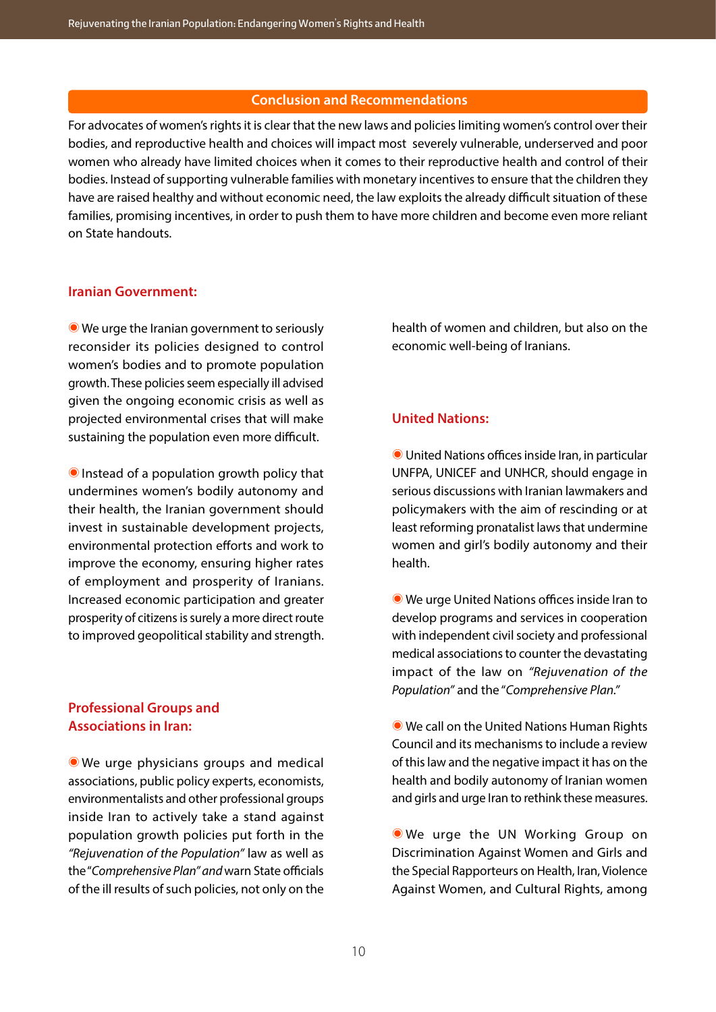#### **Conclusion and Recommendations**

For advocates of women's rights it is clear that the new laws and policies limiting women's control over their bodies, and reproductive health and choices will impact most severely vulnerable, underserved and poor women who already have limited choices when it comes to their reproductive health and control of their bodies. Instead of supporting vulnerable families with monetary incentives to ensure that the children they have are raised healthy and without economic need, the law exploits the already difficult situation of these families, promising incentives, in order to push them to have more children and become even more reliant on State handouts.

#### **Iranian Government:**

⦿ We urge the Iranian government to seriously reconsider its policies designed to control women's bodies and to promote population growth. These policies seem especially ill advised given the ongoing economic crisis as well as projected environmental crises that will make sustaining the population even more difficult.

⦿ Instead of a population growth policy that undermines women's bodily autonomy and their health, the Iranian government should invest in sustainable development projects, environmental protection efforts and work to improve the economy, ensuring higher rates of employment and prosperity of Iranians. Increased economic participation and greater prosperity of citizens is surely a more direct route to improved geopolitical stability and strength.

# **Professional Groups and Associations in Iran:**

⦿ We urge physicians groups and medical associations, public policy experts, economists, environmentalists and other professional groups inside Iran to actively take a stand against population growth policies put forth in the *"Rejuvenation of the Population"* law as well as the "*Comprehensive Plan" and* warn State officials of the ill results of such policies, not only on the

health of women and children, but also on the economic well-being of Iranians.

#### **United Nations:**

⦿ United Nations offices inside Iran, in particular UNFPA, UNICEF and UNHCR, should engage in serious discussions with Iranian lawmakers and policymakers with the aim of rescinding or at least reforming pronatalist laws that undermine women and girl's bodily autonomy and their health.

⦿ We urge United Nations offices inside Iran to develop programs and services in cooperation with independent civil society and professional medical associations to counter the devastating impact of the law on *"Rejuvenation of the Population"* and the "*Comprehensive Plan."*

⦿ We call on the United Nations Human Rights Council and its mechanisms to include a review of this law and the negative impact it has on the health and bodily autonomy of Iranian women and girls and urge Iran to rethink these measures.

⦿ We urge the UN Working Group on Discrimination Against Women and Girls and the Special Rapporteurs on Health, Iran, Violence Against Women, and Cultural Rights, among